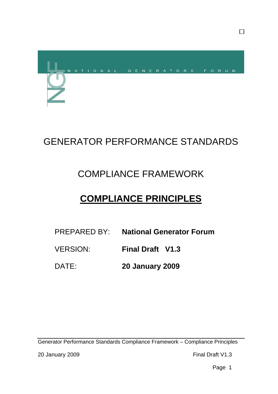

# GENERATOR PERFORMANCE STANDARDS

# COMPLIANCE FRAMEWORK

# **COMPLIANCE PRINCIPLES**

- PREPARED BY: **National Generator Forum**
- VERSION: **Final Draft V1.3**
- DATE: **20 January 2009**

Generator Performance Standards Compliance Framework – Compliance Principles

 $\Box$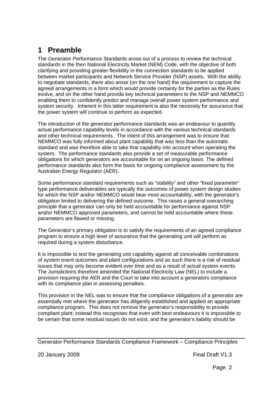## **1 Preamble**

The Generator Performance Standards arose out of a process to review the technical standards in the then National Electricity Market (NEM) Code, with the objective of both clarifying and providing greater flexibility in the connection standards to be applied between market participants and Network Service Provider (NSP) assets. With the ability to negotiate standards, there also arose (on the one hand) the requirement to capture the agreed arrangements in a form which would provide certainty for the parties as the Rules evolve, and on the other hand provide key technical parameters to the NSP and NEMMCO enabling them to confidently predict and manage overall power system performance and system security. Inherent in this latter requirement is also the necessity for assurance that the power system will continue to perform as expected.

The introduction of the generator performance standards was an endeavour to quantify actual performance capability levels in accordance with the various technical standards and other technical requirements. The intent of this arrangement was to ensure that NEMMCO was fully informed about plant capability that was less than the automatic standard and was therefore able to take that capability into account when operating the system. The performance standards also provide a set of measurable performance obligations for which generators are accountable for on an ongoing basis. The defined performance standards also form the basis for ongoing compliance assessment by the Australian Energy Regulator (AER).

Some performance standard requirements such as "stability" and other "fixed parameter" type performance deliverables are typically the outcomes of power system design studies for which the NSP and/or NEMMCO would bear most accountability, with the generator's obligation limited to delivering the defined outcome. This raises a general overarching principle that a generator can only be held accountable for performance against NSP and/or NEMMCO approved parameters, and cannot be held accountable where these parameters are flawed or missing.

The Generator's primary obligation is to satisfy the requirements of an agreed compliance program to ensure a high level of assurance that the generating unit will perform as required during a system disturbance.

It is impossible to test the generating unit capability against all conceivable combinations of system event outcomes and plant configurations and as such there is a risk of residual issues that may only become evident over time and as a result of actual system events. The Jurisdictions therefore amended the National Electricity Law (NEL) to include a provision requiring the AER and the Court to take into account a generators compliance with its compliance plan in assessing penalties.

This provision in the NEL was to ensure that the compliance obligations of a generator are essentially met where the generator has diligently established and applied an appropriate compliance program**.** This does not remove the generator's responsibility to provide compliant plant; instead this recognises that even with best endeavours it is impossible to be certain that some residual issues do not exist, and the generator's liability should be

20 January 2009 **Final Draft V1.3** 

Generator Performance Standards Compliance Framework – Compliance Principles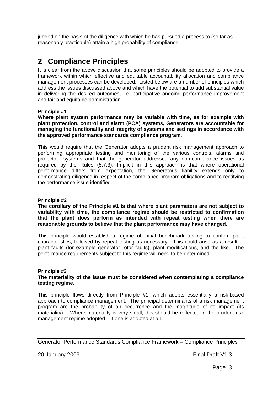judged on the basis of the diligence with which he has pursued a process to (so far as reasonably practicable) attain a high probability of compliance.

## **2 Compliance Principles**

It is clear from the above discussion that some principles should be adopted to provide a framework within which effective and equitable accountability allocation and compliance management processes can be developed. Listed below are a number of principles which address the issues discussed above and which have the potential to add substantial value in delivering the desired outcomes, i.e. participative ongoing performance improvement and fair and equitable administration.

#### **Principle #1**

**Where plant system performance may be variable with time, as for example with plant protection, control and alarm (PCA) systems, Generators are accountable for managing the functionality and integrity of systems and settings in accordance with the approved performance standards compliance program.**

This would require that the Generator adopts a prudent risk management approach to performing appropriate testing and monitoring of the various controls, alarms and protection systems and that the generator addresses any non-compliance issues as required by the Rules (5.7.3). Implicit in this approach is that where operational performance differs from expectation, the Generator's liability extends only to demonstrating diligence in respect of the compliance program obligations and to rectifying the performance issue identified.

#### **Principle #2**

**The corollary of the Principle #1 is that where plant parameters are not subject to variability with time, the compliance regime should be restricted to confirmation that the plant does perform as intended with repeat testing when there are reasonable grounds to believe that the plant performance may have changed.** 

This principle would establish a regime of initial benchmark testing to confirm plant characteristics, followed by repeat testing as necessary. This could arise as a result of plant faults (for example generator rotor faults), plant modifications, and the like. The performance requirements subject to this regime will need to be determined.

#### **Principle #3**

#### **The materiality of the issue must be considered when contemplating a compliance testing regime.**

This principle flows directly from Principle #1, which adopts essentially a risk-based approach to compliance management. The principal determinants of a risk management program are the probability of an occurrence and the magnitude of its impact (its materiality). Where materiality is very small, this should be reflected in the prudent risk management regime adopted – if one is adopted at all.

Generator Performance Standards Compliance Framework – Compliance Principles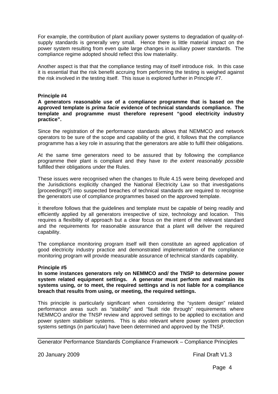For example, the contribution of plant auxiliary power systems to degradation of quality-ofsupply standards is generally very small. Hence there is little material impact on the power system resulting from even quite large changes in auxiliary power standards. The compliance regime adopted should reflect this low materiality.

Another aspect is that that the compliance testing may of itself introduce risk. In this case it is essential that the risk benefit accruing from performing the testing is weighed against the risk involved in the testing itself. This issue is explored further in Principle #7.

#### **Principle #4**

#### **A generators reasonable use of a compliance programme that is based on the approved template is** *prima facie* **evidence of technical standards compliance. The template and programme must therefore represent "good electricity industry practice".**

Since the registration of the performance standards allows that NEMMCO and network operators to be sure of the scope and capability of the grid, it follows that the compliance programme has a key role in assuring that the generators are able to fulfil their obligations.

At the same time generators need to be assured that by following the compliance programme their plant is compliant and they have *to the extent reasonably possible* fulfilled their obligations under the Rules.

These issues were recognised when the changes to Rule 4.15 were being developed and the Jurisdictions explicitly changed the National Electricity Law so that investigations [proceedings?] into suspected breaches of technical standards are required to recognise the generators use of compliance programmes based on the approved template.

. It therefore follows that the guidelines and template must be capable of being readily and efficiently applied by all generators irrespective of size, technology and location. This requires a flexibility of approach but a clear focus on the intent of the relevant standard and the requirements for reasonable assurance that a plant will deliver the required capability.

The compliance monitoring program itself will then constitute an agreed application of good electricity industry practice and demonstrated implementation of the compliance monitoring program will provide measurable assurance of technical standards capability.

#### **Principle #5**

**In some instances generators rely on NEMMCO and/ the TNSP to determine power system related equipment settings. A generator must perform and maintain its systems using, or to meet, the required settings and is not liable for a compliance breach that results from using, or meeting, the required settings.** 

This principle is particularly significant when considering the "system design" related performance areas such as "stability" and "fault ride through" requirements where NEMMCO and/or the TNSP review and approved settings to be applied to excitation and power system stabiliser systems. This is also relevant where power system protection systems settings (in particular) have been determined and approved by the TNSP.

Generator Performance Standards Compliance Framework – Compliance Principles

20 January 2009 **Final Draft V1.3**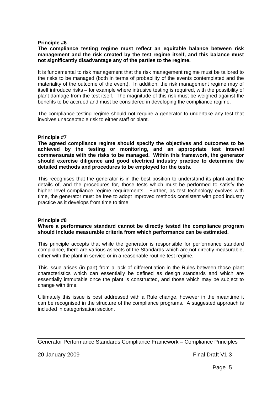#### **Principle #6**

#### **The compliance testing regime must reflect an equitable balance between risk management and the risk created by the test regime itself, and this balance must not significantly disadvantage any of the parties to the regime.**

It is fundamental to risk management that the risk management regime must be tailored to the risks to be managed (both in terms of probability of the events contemplated and the materiality of the outcome of the event). In addition, the risk management regime may of itself introduce risks – for example where intrusive testing is required, with the possibility of plant damage from the test itself. The magnitude of this risk must be weighed against the benefits to be accrued and must be considered in developing the compliance regime.

The compliance testing regime should not require a generator to undertake any test that involves unacceptable risk to either staff or plant.

#### **Principle #7**

**The agreed compliance regime should specify the objectives and outcomes to be achieved by the testing or monitoring, and an appropriate test interval commensurate with the risks to be managed. Within this framework, the generator should exercise diligence and good electrical industry practice to determine the detailed methods and procedures to be employed for the tests.** 

This recognises that the generator is in the best position to understand its plant and the details of, and the procedures for, those tests which must be performed to satisfy the higher level compliance regime requirements. Further, as test technology evolves with time, the generator must be free to adopt improved methods consistent with good industry practice as it develops from time to time.

#### **Principle #8**

#### **Where a performance standard cannot be directly tested the compliance program should include measurable criteria from which performance can be estimated.**

This principle accepts that while the generator is responsible for performance standard compliance, there are various aspects of the Standards which are not directly measurable, either with the plant in service or in a reasonable routine test regime.

This issue arises (in part) from a lack of differentiation in the Rules between those plant characteristics which can essentially be defined as design standards and which are essentially immutable once the plant is constructed, and those which may be subject to change with time.

Ultimately this issue is best addressed with a Rule change, however in the meantime it can be recognised in the structure of the compliance programs. A suggested approach is included in categorisation section.

Generator Performance Standards Compliance Framework – Compliance Principles

20 January 2009 **Final Draft V1.3**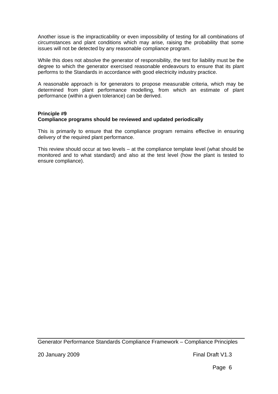Another issue is the impracticability or even impossibility of testing for all combinations of circumstances and plant conditions which may arise, raising the probability that some issues will not be detected by any reasonable compliance program.

While this does not absolve the generator of responsibility, the test for liability must be the degree to which the generator exercised reasonable endeavours to ensure that its plant performs to the Standards in accordance with good electricity industry practice.

A reasonable approach is for generators to propose measurable criteria, which may be determined from plant performance modelling, from which an estimate of plant performance (within a given tolerance) can be derived.

### **Principle #9**

#### **Compliance programs should be reviewed and updated periodically**

This is primarily to ensure that the compliance program remains effective in ensuring delivery of the required plant performance.

This review should occur at two levels – at the compliance template level (what should be monitored and to what standard) and also at the test level (how the plant is tested to ensure compliance).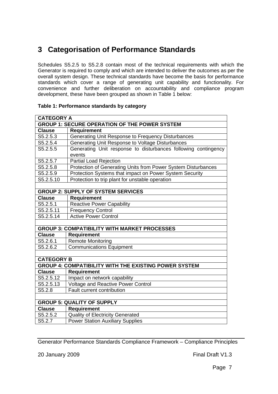## **3 Categorisation of Performance Standards**

Schedules S5.2.5 to S5.2.8 contain most of the technical requirements with which the Generator is required to comply and which are intended to deliver the outcomes as per the overall system design. These technical standards have become the basis for performance standards which cover a range of generating unit capability and functionality. For convenience and further deliberation on accountability and compliance program development, these have been grouped as shown in Table 1 below:

| <b>CATEGORY A</b>                                            |                                                                          |
|--------------------------------------------------------------|--------------------------------------------------------------------------|
| <b>GROUP 1: SECURE OPERATION OF THE POWER SYSTEM</b>         |                                                                          |
| <b>Clause</b>                                                | <b>Requirement</b>                                                       |
| S5.2.5.3                                                     | Generating Unit Response to Frequency Disturbances                       |
| S5.2.5.4                                                     | Generating Unit Response to Voltage Disturbances                         |
| S5.2.5.5                                                     | Generating Unit response to disturbances following contingency<br>events |
| S5.2.5.7                                                     | <b>Partial Load Rejection</b>                                            |
| S5.2.5.8                                                     | Protection of Generating Units from Power System Disturbances            |
| S5.2.5.9                                                     | Protection Systems that impact on Power System Security                  |
| S5.2.5.10                                                    | Protection to trip plant for unstable operation                          |
|                                                              |                                                                          |
| <b>GROUP 2: SUPPLY OF SYSTEM SERVICES</b>                    |                                                                          |
| <b>Clause</b>                                                | <b>Requirement</b>                                                       |
| S5.2.5.1                                                     | <b>Reactive Power Capability</b>                                         |
| S5.2.5.11                                                    | <b>Frequency Control</b>                                                 |
| S5.2.5.14                                                    | <b>Active Power Control</b>                                              |
|                                                              |                                                                          |
| <b>GROUP 3: COMPATIBILITY WITH MARKET PROCESSES</b>          |                                                                          |
| <b>Clause</b>                                                | Requirement                                                              |
| S5.2.6.1                                                     | <b>Remote Monitoring</b>                                                 |
| S5.2.6.2                                                     | <b>Communications Equipment</b>                                          |
|                                                              |                                                                          |
| <b>CATEGORY B</b>                                            |                                                                          |
| <b>GROUP 4: COMPATIBILITY WITH THE EXISTING POWER SYSTEM</b> |                                                                          |
| <b>Clause</b>                                                | <b>Requirement</b>                                                       |
| S5.2.5.12                                                    | Impact on network capability                                             |
| S5.2.5.13                                                    | <b>Voltage and Reactive Power Control</b>                                |
| S5.2.8                                                       | Fault current contribution                                               |
|                                                              |                                                                          |
| <b>GROUP 5: QUALITY OF SUPPLY</b>                            |                                                                          |
| <b>Clause</b>                                                | <b>Requirement</b>                                                       |
| S5.2.5.2                                                     | <b>Quality of Electricity Generated</b>                                  |
| S5.2.7                                                       | <b>Power Station Auxiliary Supplies</b>                                  |

#### **Table 1: Performance standards by category**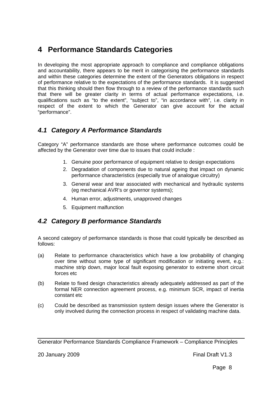## **4 Performance Standards Categories**

In developing the most appropriate approach to compliance and compliance obligations and accountability, there appears to be merit in categorising the performance standards and within these categories determine the extent of the Generators obligations in respect of performance relative to the expectations of the performance standards. It is suggested that this thinking should then flow through to a review of the performance standards such that there will be greater clarity in terms of actual performance expectations, i.e. qualifications such as "to the extent", "subject to", "in accordance with", i.e. clarity in respect of the extent to which the Generator can give account for the actual "performance".

### *4.1 Category A Performance Standards*

Category "A" performance standards are those where performance outcomes could be affected by the Generator over time due to issues that could include :

- 1. Genuine poor performance of equipment relative to design expectations
- 2. Degradation of components due to natural ageing that impact on dynamic performance characteristics (especially true of analogue circuitry)
- 3. General wear and tear associated with mechanical and hydraulic systems (eg mechanical AVR's or governor systems);
- 4. Human error, adjustments, unapproved changes
- 5. Equipment malfunction

### *4.2 Category B performance Standards*

A second category of performance standards is those that could typically be described as follows:

- (a) Relate to performance characteristics which have a low probability of changing over time without some type of significant modification or initiating event, e.g.: machine strip down, major local fault exposing generator to extreme short circuit forces etc
- (b) Relate to fixed design characteristics already adequately addressed as part of the formal NER connection agreement process, e.g. minimum SCR, impact of inertia constant etc
- (c) Could be described as transmission system design issues where the Generator is only involved during the connection process in respect of validating machine data.